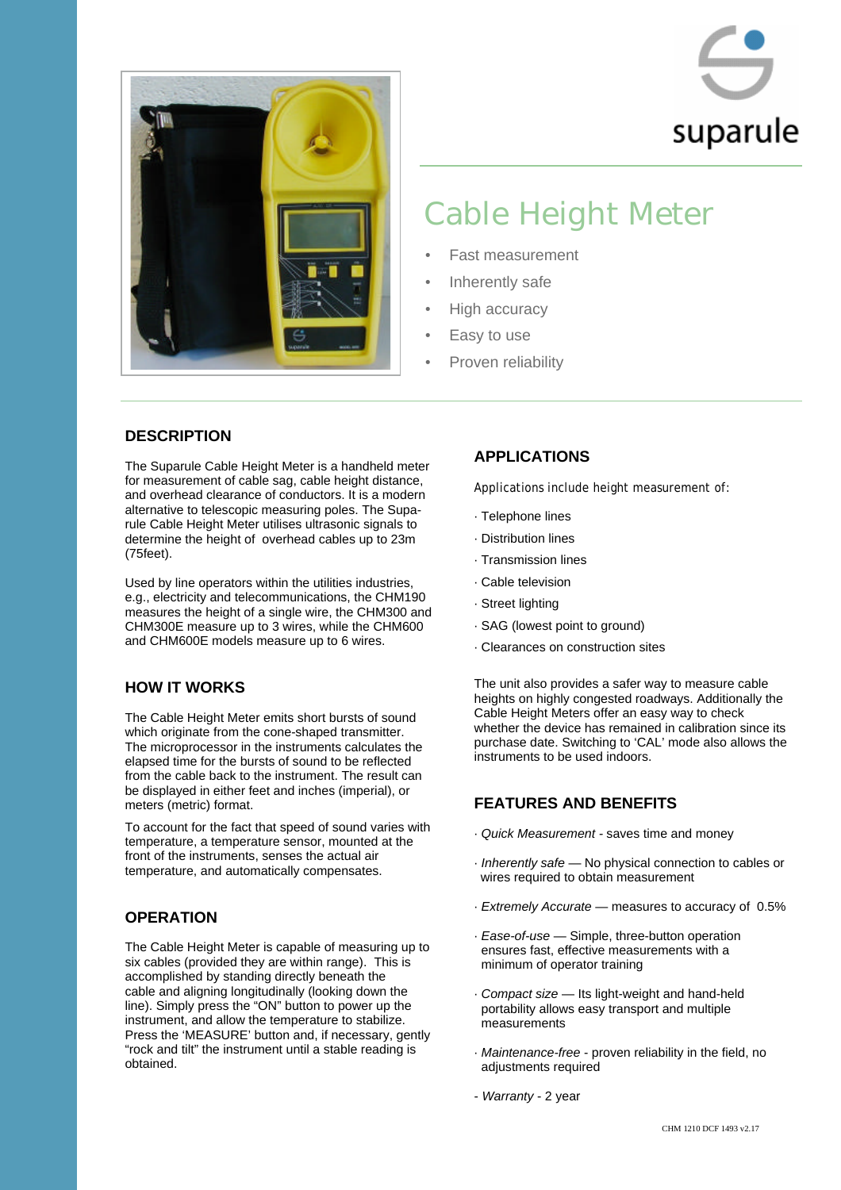



# Cable Height Meter

- Fast measurement
- Inherently safe
- High accuracy
- Easy to use
- Proven reliability

#### **DESCRIPTION**

The Suparule Cable Height Meter is a handheld meter for measurement of cable sag, cable height distance, and overhead clearance of conductors. It is a modern alternative to telescopic measuring poles. The Suparule Cable Height Meter utilises ultrasonic signals to determine the height of overhead cables up to 23m (75feet).

Used by line operators within the utilities industries, e.g., electricity and telecommunications, the CHM190 measures the height of a single wire, the CHM300 and CHM300E measure up to 3 wires, while the CHM600 and CHM600E models measure up to 6 wires.

### **HOW IT WORKS**

The Cable Height Meter emits short bursts of sound which originate from the cone-shaped transmitter. The microprocessor in the instruments calculates the elapsed time for the bursts of sound to be reflected from the cable back to the instrument. The result can be displayed in either feet and inches (imperial), or meters (metric) format.

To account for the fact that speed of sound varies with temperature, a temperature sensor, mounted at the front of the instruments, senses the actual air temperature, and automatically compensates.

### **OPERATION**

The Cable Height Meter is capable of measuring up to six cables (provided they are within range). This is accomplished by standing directly beneath the cable and aligning longitudinally (looking down the line). Simply press the "ON" button to power up the instrument, and allow the temperature to stabilize. Press the 'MEASURE' button and, if necessary, gently "rock and tilt" the instrument until a stable reading is obtained.

### **APPLICATIONS**

Applications include height measurement of:

- · Telephone lines
- · Distribution lines
- · Transmission lines
- · Cable television
- · Street lighting
- · SAG (lowest point to ground)
- · Clearances on construction sites

The unit also provides a safer way to measure cable heights on highly congested roadways. Additionally the Cable Height Meters offer an easy way to check whether the device has remained in calibration since its purchase date. Switching to 'CAL' mode also allows the instruments to be used indoors.

## **FEATURES AND BENEFITS**

- · *Quick Measurement -* saves time and money
- · *Inherently safe* No physical connection to cables or wires required to obtain measurement
- · *Extremely Accurate* measures to accuracy of 0.5%
- · *Ease-of-use*  Simple, three-button operation ensures fast, effective measurements with a minimum of operator training
- · *Compact size*  Its light-weight and hand-held portability allows easy transport and multiple measurements
- · *Maintenance-free*  proven reliability in the field, no adjustments required
- *Warranty*  2 year